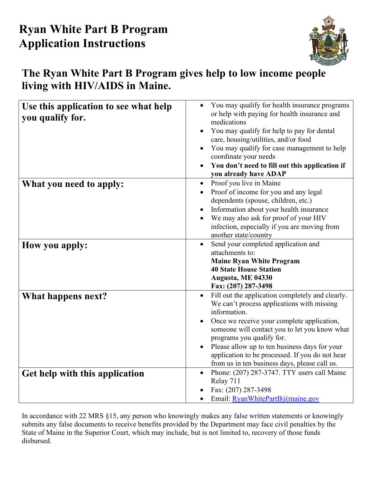# **Ryan White Part B Program Application Instructions**



## **The Ryan White Part B Program gives help to low income people living with HIV/AIDS in Maine.**

| Use this application to see what help<br>you qualify for. | You may qualify for health insurance programs<br>or help with paying for health insurance and<br>medications<br>You may qualify for help to pay for dental<br>care, housing/utilities, and/or food<br>You may qualify for case management to help<br>coordinate your needs<br>You don't need to fill out this application if<br>you already have ADAP                                           |
|-----------------------------------------------------------|-------------------------------------------------------------------------------------------------------------------------------------------------------------------------------------------------------------------------------------------------------------------------------------------------------------------------------------------------------------------------------------------------|
| What you need to apply:                                   | Proof you live in Maine<br>$\bullet$<br>Proof of income for you and any legal<br>dependents (spouse, children, etc.)<br>Information about your health insurance<br>We may also ask for proof of your HIV<br>infection, especially if you are moving from<br>another state/country                                                                                                               |
| How you apply:                                            | Send your completed application and<br>attachments to:<br><b>Maine Ryan White Program</b><br><b>40 State House Station</b><br>Augusta, ME 04330<br>Fax: (207) 287-3498                                                                                                                                                                                                                          |
| What happens next?                                        | Fill out the application completely and clearly.<br>We can't process applications with missing<br>information.<br>Once we receive your complete application,<br>someone will contact you to let you know what<br>programs you qualify for.<br>Please allow up to ten business days for your<br>application to be processed. If you do not hear<br>from us in ten business days, please call us. |
| Get help with this application                            | Phone: (207) 287-3747. TTY users call Maine<br>$\bullet$<br>Relay 711<br>Fax: (207) 287-3498<br>Email: RyanWhitePartB@maine.gov<br>$\bullet$                                                                                                                                                                                                                                                    |

In accordance with 22 MRS §15, any person who knowingly makes any false written statements or knowingly submits any false documents to receive benefits provided by the Department may face civil penalties by the State of Maine in the Superior Court, which may include, but is not limited to, recovery of those funds disbursed.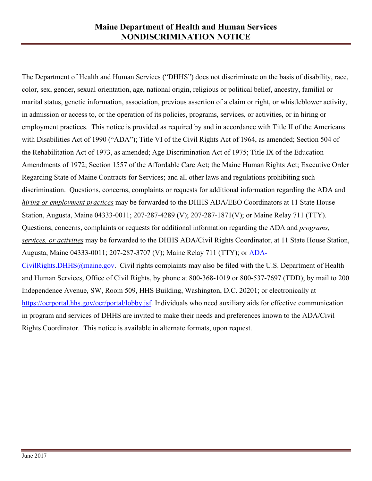The Department of Health and Human Services ("DHHS") does not discriminate on the basis of disability, race, color, sex, gender, sexual orientation, age, national origin, religious or political belief, ancestry, familial or marital status, genetic information, association, previous assertion of a claim or right, or whistleblower activity, in admission or access to, or the operation of its policies, programs, services, or activities, or in hiring or employment practices. This notice is provided as required by and in accordance with Title II of the Americans with Disabilities Act of 1990 ("ADA"); Title VI of the Civil Rights Act of 1964, as amended; Section 504 of the Rehabilitation Act of 1973, as amended; Age Discrimination Act of 1975; Title IX of the Education Amendments of 1972; Section 1557 of the Affordable Care Act; the Maine Human Rights Act; Executive Order Regarding State of Maine Contracts for Services; and all other laws and regulations prohibiting such discrimination. Questions, concerns, complaints or requests for additional information regarding the ADA and *hiring or employment practices* may be forwarded to the DHHS ADA/EEO Coordinators at 11 State House Station, Augusta, Maine 04333-0011; 207-287-4289 (V); 207-287-1871(V); or Maine Relay 711 (TTY). Questions, concerns, complaints or requests for additional information regarding the ADA and *programs, services, or activities* may be forwarded to the DHHS ADA/Civil Rights Coordinator, at 11 State House Station, Augusta, Maine 04333-0011; 207-287-3707 (V); Maine Relay 711 (TTY); or [ADA-](mailto:ADA-CivilRights.DHHS@maine.gov)[CivilRights.DHHS@maine.gov.](mailto:ADA-CivilRights.DHHS@maine.gov) Civil rights complaints may also be filed with the U.S. Department of Health and Human Services, Office of Civil Rights, by phone at 800-368-1019 or 800-537-7697 (TDD); by mail to 200 Independence Avenue, SW, Room 509, HHS Building, Washington, D.C. 20201; or electronically at [https://ocrportal.hhs.gov/ocr/portal/lobby.jsf.](https://ocrportal.hhs.gov/ocr/portal/lobby.jsf) Individuals who need auxiliary aids for effective communication in program and services of DHHS are invited to make their needs and preferences known to the ADA/Civil Rights Coordinator. This notice is available in alternate formats, upon request.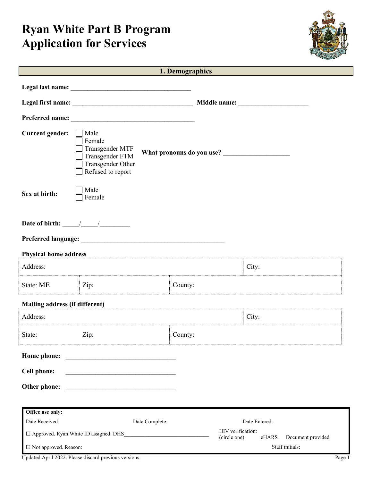# **Ryan White Part B Program Application for Services**



|                                                                                |                                                                                                | 1. Demographics |                                                                                                                                                                                                                               |  |
|--------------------------------------------------------------------------------|------------------------------------------------------------------------------------------------|-----------------|-------------------------------------------------------------------------------------------------------------------------------------------------------------------------------------------------------------------------------|--|
|                                                                                |                                                                                                |                 |                                                                                                                                                                                                                               |  |
|                                                                                |                                                                                                |                 | Middle name: What is a series of the same of the same of the same of the same of the same of the same of the same of the same of the same of the same of the same of the same of the same of the same of the same of the same |  |
|                                                                                |                                                                                                |                 |                                                                                                                                                                                                                               |  |
|                                                                                |                                                                                                |                 |                                                                                                                                                                                                                               |  |
| <b>Current gender:</b>                                                         | Male<br>Female<br>Transgender MTF<br>Transgender FTM<br>Transgender Other<br>Refused to report |                 | What pronouns do you use?                                                                                                                                                                                                     |  |
| Sex at birth:                                                                  | Male<br>Female                                                                                 |                 |                                                                                                                                                                                                                               |  |
| Date of birth: $\frac{1}{\sqrt{1-\frac{1}{2}}}\frac{1}{\sqrt{1-\frac{1}{2}}}}$ |                                                                                                |                 |                                                                                                                                                                                                                               |  |
|                                                                                |                                                                                                |                 |                                                                                                                                                                                                                               |  |
| <b>Physical home address</b>                                                   |                                                                                                |                 |                                                                                                                                                                                                                               |  |
| Address:                                                                       |                                                                                                |                 | City:                                                                                                                                                                                                                         |  |
| State: ME                                                                      | Zip:                                                                                           | County:         |                                                                                                                                                                                                                               |  |
| <b>Mailing address (if different)</b>                                          |                                                                                                |                 |                                                                                                                                                                                                                               |  |
| Address:                                                                       |                                                                                                |                 | City:                                                                                                                                                                                                                         |  |
| State:                                                                         | Zip:                                                                                           | County:         |                                                                                                                                                                                                                               |  |
| Home phone:                                                                    |                                                                                                |                 |                                                                                                                                                                                                                               |  |
| <b>Cell phone:</b>                                                             |                                                                                                |                 |                                                                                                                                                                                                                               |  |
| Other phone:                                                                   |                                                                                                |                 |                                                                                                                                                                                                                               |  |
|                                                                                |                                                                                                |                 |                                                                                                                                                                                                                               |  |
|                                                                                |                                                                                                |                 |                                                                                                                                                                                                                               |  |
| Office use only:                                                               |                                                                                                |                 | Date Entered:                                                                                                                                                                                                                 |  |
| Date Received:                                                                 | Date Complete:                                                                                 |                 | HIV verification:                                                                                                                                                                                                             |  |
| $\Box$ Approved. Ryan White ID assigned: DHS<br>(circle one)                   |                                                                                                | eHARS           | Document provided                                                                                                                                                                                                             |  |
| □ Not approved. Reason:                                                        |                                                                                                |                 | Staff initials:                                                                                                                                                                                                               |  |

Updated April 2022. Please discard previous versions. Page 1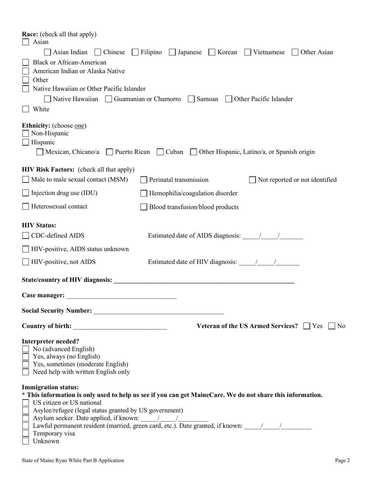| <b>Race:</b> (check all that apply)<br>Asian                                                                                                                          |
|-----------------------------------------------------------------------------------------------------------------------------------------------------------------------|
| $\Box$ Filipino<br>$\Box$ Korean<br>Asian Indian   Chinese<br>$\Box$ Japanese<br>  Vietnamese<br>Other Asian                                                          |
| <b>Black or African-American</b>                                                                                                                                      |
| American Indian or Alaska Native                                                                                                                                      |
| Other                                                                                                                                                                 |
| Native Hawaiian or Other Pacific Islander                                                                                                                             |
| Native Hawaiian Guamanian or Chamorro Samoan Other Pacific Islander                                                                                                   |
| White                                                                                                                                                                 |
| <b>Ethnicity:</b> (choose <u>one</u> )<br>Non-Hispanic<br>$\Box$ Hispanic<br>Mexican, Chicano/a Puerto Rican Cuban Other Hispanic, Latino/a, or Spanish origin        |
| <b>HIV Risk Factors:</b> (check all that apply)                                                                                                                       |
| Male to male sexual contact (MSM)<br>Perinatal transmission<br>Not reported or not identified                                                                         |
| $\Box$ Injection drug use (IDU)<br>Hemophilia/coagulation disorder                                                                                                    |
| Heterosexual contact<br>Blood transfusion/blood products                                                                                                              |
| <b>HIV Status:</b>                                                                                                                                                    |
| CDC-defined AIDS                                                                                                                                                      |
| HIV-positive, AIDS status unknown                                                                                                                                     |
| $\Box$ HIV-positive, not AIDS                                                                                                                                         |
|                                                                                                                                                                       |
| Case manager:                                                                                                                                                         |
|                                                                                                                                                                       |
| Veteran of the US Armed Services? $\Box$ Yes<br>  No                                                                                                                  |
| <b>Interpreter needed?</b><br>No (advanced English)<br>$\Box$ Yes, always (no English)<br>Yes, sometimes (moderate English)<br>Need help with written English only    |
| <b>Immigration status:</b><br>* This information is only used to help us see if you can get MaineCare. We do not share this information.<br>US citizen or US national |
| Asylee/refugee (legal status granted by US government)                                                                                                                |
|                                                                                                                                                                       |
|                                                                                                                                                                       |
| Temporary visa<br>Unknown                                                                                                                                             |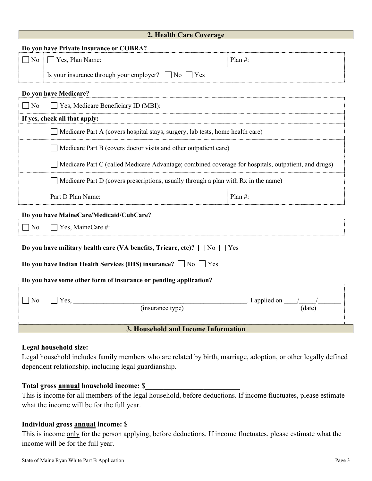| 2. Health Care Coverage |  |  |  |  |
|-------------------------|--|--|--|--|
|-------------------------|--|--|--|--|

**Do you have Private Insurance or COBRA?** 

| $\sim$<br>101<br>valliv.<br>ັ                              | n.<br>iall |
|------------------------------------------------------------|------------|
| n<br>10r<br>vour<br>$\alpha$<br>$\Delta$<br>ັບວ<br>⊥∪<br>▱ |            |

#### **Do you have Medicare?**

| No. | $\Box$ Yes, Medicare Beneficiary ID (MBI):                                                                            |           |  |
|-----|-----------------------------------------------------------------------------------------------------------------------|-----------|--|
|     | If yes, check all that apply:                                                                                         |           |  |
|     | $\Box$ Medicare Part A (covers hospital stays, surgery, lab tests, home health care)                                  |           |  |
|     | $\Box$ Medicare Part B (covers doctor visits and other outpatient care)                                               |           |  |
|     | Medicare Part C (called Medicare Advantage; combined coverage for hospitals, outpatient, and drugs)<br>$\blacksquare$ |           |  |
|     | Medicare Part D (covers prescriptions, usually through a plan with Rx in the name)<br>$\blacksquare$                  |           |  |
|     | Part D Plan Name:                                                                                                     | Plan $\#$ |  |

#### **Do you have MaineCare/Medicaid/CubCare?**

 $\Box$  No  $\Box$  Yes, MaineCare #

| .                                                                                  | $\blacksquare$ $\blacksquare$ $\blacksquare$ $\blacksquare$ $\blacksquare$ $\blacksquare$ $\blacksquare$ $\blacksquare$ $\blacksquare$ |                                            |       |
|------------------------------------------------------------------------------------|----------------------------------------------------------------------------------------------------------------------------------------|--------------------------------------------|-------|
| Do you have military health care (VA benefits, Tricare, etc)? $\Box$ No $\Box$ Yes |                                                                                                                                        |                                            |       |
| Do you have Indian Health Services (IHS) insurance? $\Box$ No $\Box$ Yes           |                                                                                                                                        |                                            |       |
|                                                                                    | Do you have some other form of insurance or pending application?                                                                       |                                            |       |
|                                                                                    | Yes.<br>(insurance type)                                                                                                               | $\blacksquare$ I applied on $\blacksquare$ | date) |
|                                                                                    |                                                                                                                                        |                                            |       |

**3. Household and Income Information**

#### Legal household size:

Legal household includes family members who are related by birth, marriage, adoption, or other legally defined dependent relationship, including legal guardianship.

#### **Total gross annual household income:** \$\_\_\_\_\_\_\_\_\_\_\_\_\_\_\_\_\_\_\_\_\_\_\_\_\_\_

This is income for all members of the legal household, before deductions. If income fluctuates, please estimate what the income will be for the full year.

#### Individual gross **annual** income:  $\$

This is income only for the person applying, before deductions. If income fluctuates, please estimate what the income will be for the full year.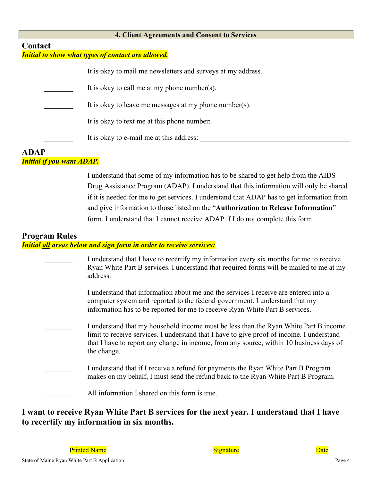#### **4. Client Agreements and Consent to Services**

### **Contact**

#### *Initial to show what types of contact are allowed.*

| It is okay to mail me new sletters and surveys at my address. |
|---------------------------------------------------------------|
| It is okay to call me at my phone number(s).                  |
| It is okay to leave me messages at my phone number(s).        |
| It is okay to text me at this phone number:                   |
| It is okay to e-mail me at this address:                      |

#### **ADAP** *Initial if you want ADAP.*

I understand that some of my information has to be shared to get help from the AIDS Drug Assistance Program (ADAP). I understand that this information will only be shared if it is needed for me to get services. I understand that ADAP has to get information from and give information to those listed on the "**Authorization to Release Information**" form. I understand that I cannot receive ADAP if I do not complete this form.

#### **Program Rules** *Initial all areas below and sign form in order to receive services:*

| I understand that I have to recertify my information every six months for me to receive<br>Ryan White Part B services. I understand that required forms will be mailed to me at my<br>address.                                                                                              |
|---------------------------------------------------------------------------------------------------------------------------------------------------------------------------------------------------------------------------------------------------------------------------------------------|
| I understand that information about me and the services I receive are entered into a<br>computer system and reported to the federal government. I understand that my<br>information has to be reported for me to receive Ryan White Part B services.                                        |
| I understand that my household income must be less than the Ryan White Part B income<br>limit to receive services. I understand that I have to give proof of income. I understand<br>that I have to report any change in income, from any source, within 10 business days of<br>the change. |
| I understand that if I receive a refund for payments the Ryan White Part B Program<br>makes on my behalf, I must send the refund back to the Ryan White Part B Program.                                                                                                                     |
| All information I shared on this form is true.                                                                                                                                                                                                                                              |

### **I want to receive Ryan White Part B services for the next year. I understand that I have to recertify my information in six months.**